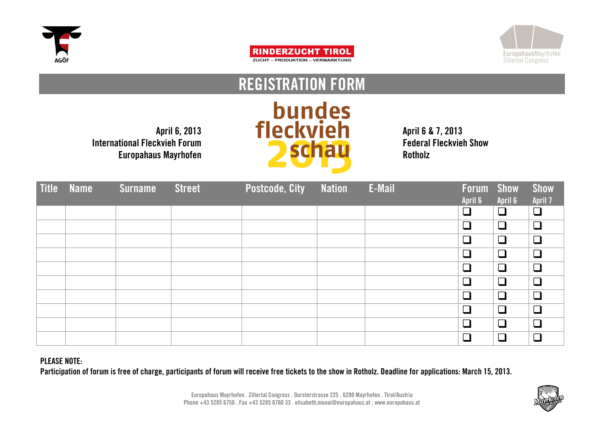





# **REGISTRATION FORM**





| Title Name | Surname | <b>Street</b> | <b>Postcode, City</b> | <b>Nation</b> | E-Mail | <b>Forum Show</b>           |         | <b>Show</b>    |
|------------|---------|---------------|-----------------------|---------------|--------|-----------------------------|---------|----------------|
|            |         |               |                       |               |        | April 6                     | April 6 | <b>April 7</b> |
|            |         |               |                       |               |        |                             | $\Box$  | $\Box$         |
|            |         |               |                       |               |        | $\Box$                      | $\Box$  |                |
|            |         |               |                       |               |        | $\Box$                      | $\Box$  | $\Box$         |
|            |         |               |                       |               |        | ┐                           | $\Box$  | $\Box$         |
|            |         |               |                       |               |        | T.                          | $\Box$  | $\Box$         |
|            |         |               |                       |               |        | ┐                           | $\Box$  | $\Box$         |
|            |         |               |                       |               |        | $\overline{\phantom{a}}$    | $\Box$  |                |
|            |         |               |                       |               |        | $\mathcal{L}_{\mathcal{A}}$ | $\Box$  |                |
|            |         |               |                       |               |        | ┓                           | $\Box$  | $\Box$         |
|            |         |               |                       |               |        |                             | ∩       |                |

#### **PLEASE NOTE:**

**Participation of forum is free of charge, participants of forum will receive free tickets to the show in Rotholz. Deadline for applications: March 15, 2013.**

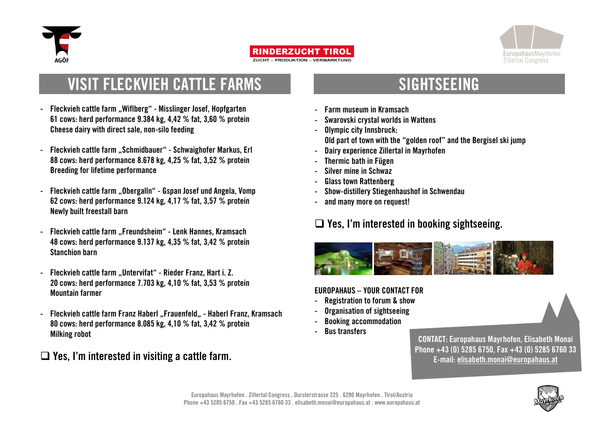





## **VISIT FLECKVIEH CATTLE FARMS**

- **- Fleckvieh cattle farm "Wiflberg" - Misslinger Josef, Hopfgarten 61 cows: herd performance 9.384 kg, 4,42 % fat, 3,60 % protein Cheese dairy with direct sale, non-silo feeding**
- **- Fleckvieh cattle farm "Schmidbauer" - Schwaighofer Markus, Erl 88 cows: herd performance 8.678 kg, 4,25 % fat, 3,52 % protein Breeding for lifetime performance**
- **- Fleckvieh cattle farm "Obergalln" - Gspan Josef und Angela, Vomp 62 cows: herd performance 9.124 kg, 4,17 % fat, 3,57 % protein Newly built freestall barn**
- **- Fleckvieh cattle farm "Freundsheim" - Lenk Hannes, Kramsach 48 cows: herd performance 9.137 kg, 4,35 % fat, 3,42 % protein Stanchion barn**
- **- Fleckvieh cattle farm "Untervifat" - Rieder Franz, Hart i. Z. 20 cows: herd performance 7.703 kg, 4,10 % fat, 3,53 % protein Mountain farmer**
- **- Fleckvieh cattle farm Franz Haberl "Frauenfeld" - Haberl Franz, Kramsach 80 cows: herd performance 8.085 kg, 4,10 % fat, 3,42 % protein Milking robot**

#### **Yes, I'm interested in visiting a cattle farm.**

### **SIGHTSEEING**

- **- Farm museum in Kramsach**
- **- Swarovski crystal worlds in Wattens**
- **- Olympic city Innsbruck: Old part of town with the "golden roof" and the Bergisel ski jump**
- **- Dairy experience Zillertal in Mayrhofen**
- **- Thermic bath in Fügen**
- **- Silver mine in Schwaz**
- **- Glass town Rattenberg**
- **- Show-distillery Stiegenhaushof in Schwendau**
- **- and many more on request!**

#### **Yes, I'm interested in booking sightseeing.**



#### **EUROPAHAUS – YOUR CONTACT FOR**

- **- Registration to forum & show**
- **- Organisation of sightseeing**
- **- Booking accommodation**
- **- Bus transfers**

**CONTACT: Europahaus Mayrhofen, Elisabeth Monai Phone +43 (0) 5285 6750, Fax +43 (0) 5285 6760 33 E-mail[: elisabeth.monai@europahaus.at](mailto:elisabeth.monai@europahaus.at)**